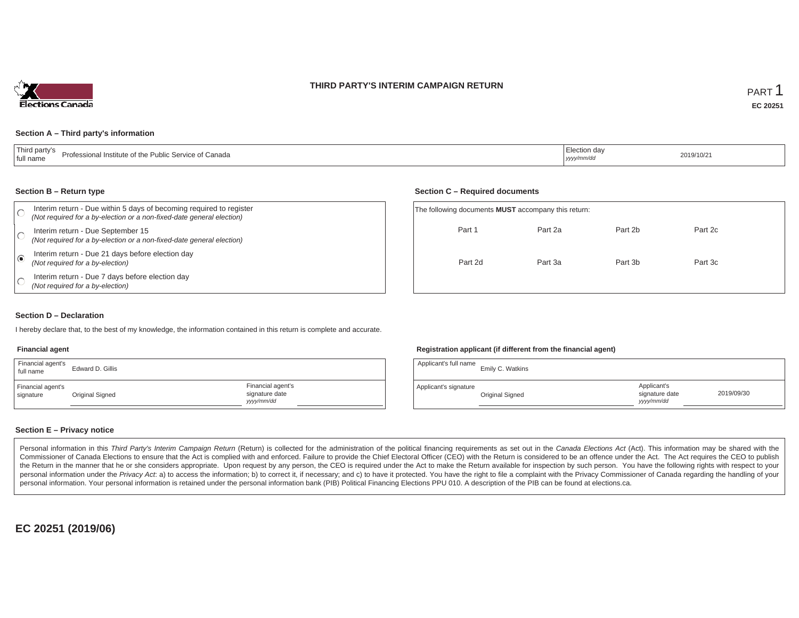### **THIRD PARTY'S INTERIM CAMPAIGN RETURN**



#### **Section A – Third party's information**

| Third party's<br>Professional Institute of the Public Service of Canada<br>full name | ection da<br>, yyyy/mm/ar | 2019/10/21 |
|--------------------------------------------------------------------------------------|---------------------------|------------|
|--------------------------------------------------------------------------------------|---------------------------|------------|

#### **Section B – Return type**

|                         | Interim return - Due within 5 days of becoming required to register<br>(Not required for a by-election or a non-fixed-date general election) | The following documents <b>MUST</b> accompany this return: |         |         |         |  |  |
|-------------------------|----------------------------------------------------------------------------------------------------------------------------------------------|------------------------------------------------------------|---------|---------|---------|--|--|
|                         | Interim return - Due September 15<br>(Not required for a by-election or a non-fixed-date general election)                                   | Part 1                                                     | Part 2a | Part 2b | Part 2c |  |  |
| $\overline{\mathbf{G}}$ | Interim return - Due 21 days before election day<br>(Not required for a by-election)                                                         | Part 2d                                                    | Part 3a | Part 3b | Part 3c |  |  |
|                         | Interim return - Due 7 days before election day<br>(Not required for a by-election)                                                          |                                                            |         |         |         |  |  |

#### **Section D – Declaration**

I hereby declare that, to the best of my knowledge, the information contained in this return is complete and accurate.

#### **Financial agent**

| Financial agent's<br>full name | Edward D. Gillis |                                                   |
|--------------------------------|------------------|---------------------------------------------------|
| Financial agent's<br>signature | Original Signed  | Financial agent's<br>signature date<br>vyyy/mm/dd |

#### **Registration applicant (if different from the financial agent)**

**Section C – Required documents**

| Applicant's full name | Emily C. Watkins |                                             |            |
|-----------------------|------------------|---------------------------------------------|------------|
| Applicant's signature | Original Signed  | Applicant's<br>signature date<br>yyyy/mm/dd | 2019/09/30 |

### **Section E – Privacy notice**

Personal information in this Third Party's Interim Campaign Return (Return) is collected for the administration of the political financing requirements as set out in the Canada Elections Act (Act). This information may be Commissioner of Canada Elections to ensure that the Act is complied with and enforced. Failure to provide the Chief Electoral Officer (CEO) with the Return is considered to be an offence under the Act. The Act requires the the Return in the manner that he or she considers appropriate. Upon request by any person, the CEO is required under the Act to make the Return available for inspection by such person. You have the following rights with re personal information under the Privacy Act. a) to access the information; b) to correct it, if necessary; and c) to have it protected. You have the right to file a complaint with the Privacy Commissioner of Canada regardin personal information. Your personal information is retained under the personal information bank (PIB) Political Financing Elections PPU 010. A description of the PIB can be found at elections.ca.

**EC 20251 (2019/06)**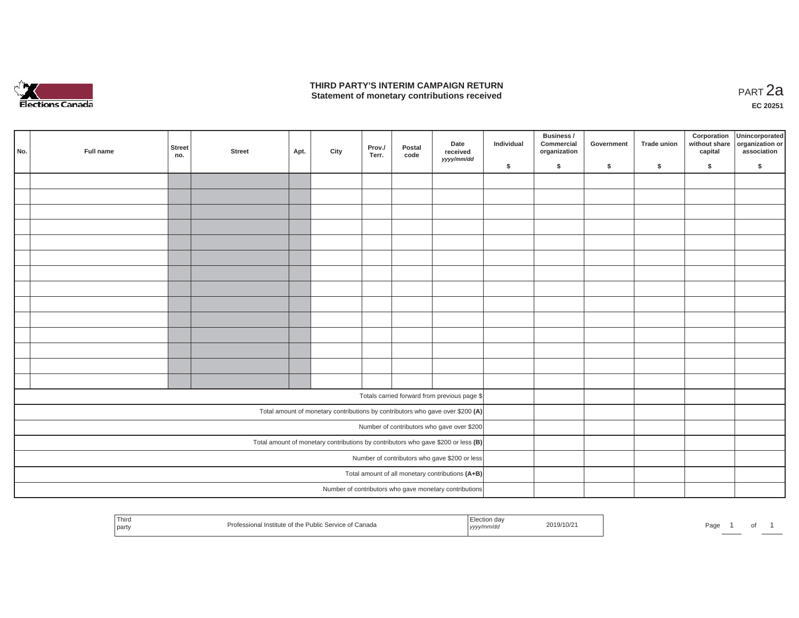

### **THIRD PARTY'S INTERIM CAMPAIGN RETURN THIRD PARTY'S INTERIM CAMPAIGN RETURN<br>Statement of monetary contributions received PART 2a**

**EC 20251**

| No. | Full name | <b>Street</b><br>no. | <b>Street</b> | Apt. | City | Prov./<br>Terr. | Postal<br>code | Date<br>received<br>yyyy/mm/dd                                                    | Individual | Business /<br>Commercial<br>organization | Government | Trade union | Corporation<br>capital | Unincorporated<br>without share organization or<br>association |
|-----|-----------|----------------------|---------------|------|------|-----------------|----------------|-----------------------------------------------------------------------------------|------------|------------------------------------------|------------|-------------|------------------------|----------------------------------------------------------------|
|     |           |                      |               |      |      |                 |                |                                                                                   | \$         | \$                                       | \$         | $\sqrt{2}$  | \$                     | \$                                                             |
|     |           |                      |               |      |      |                 |                |                                                                                   |            |                                          |            |             |                        |                                                                |
|     |           |                      |               |      |      |                 |                |                                                                                   |            |                                          |            |             |                        |                                                                |
|     |           |                      |               |      |      |                 |                |                                                                                   |            |                                          |            |             |                        |                                                                |
|     |           |                      |               |      |      |                 |                |                                                                                   |            |                                          |            |             |                        |                                                                |
|     |           |                      |               |      |      |                 |                |                                                                                   |            |                                          |            |             |                        |                                                                |
|     |           |                      |               |      |      |                 |                |                                                                                   |            |                                          |            |             |                        |                                                                |
|     |           |                      |               |      |      |                 |                |                                                                                   |            |                                          |            |             |                        |                                                                |
|     |           |                      |               |      |      |                 |                |                                                                                   |            |                                          |            |             |                        |                                                                |
|     |           |                      |               |      |      |                 |                |                                                                                   |            |                                          |            |             |                        |                                                                |
|     |           |                      |               |      |      |                 |                |                                                                                   |            |                                          |            |             |                        |                                                                |
|     |           |                      |               |      |      |                 |                |                                                                                   |            |                                          |            |             |                        |                                                                |
|     |           |                      |               |      |      |                 |                |                                                                                   |            |                                          |            |             |                        |                                                                |
|     |           |                      |               |      |      |                 |                |                                                                                   |            |                                          |            |             |                        |                                                                |
|     |           |                      |               |      |      |                 |                |                                                                                   |            |                                          |            |             |                        |                                                                |
|     |           |                      |               |      |      |                 |                |                                                                                   |            |                                          |            |             |                        |                                                                |
|     |           |                      |               |      |      |                 |                | Totals carried forward from previous page \$                                      |            |                                          |            |             |                        |                                                                |
|     |           |                      |               |      |      |                 |                | Total amount of monetary contributions by contributors who gave over \$200 (A)    |            |                                          |            |             |                        |                                                                |
|     |           |                      |               |      |      |                 |                | Number of contributors who gave over \$200                                        |            |                                          |            |             |                        |                                                                |
|     |           |                      |               |      |      |                 |                | Total amount of monetary contributions by contributors who gave \$200 or less (B) |            |                                          |            |             |                        |                                                                |
|     |           |                      |               |      |      |                 |                | Number of contributors who gave \$200 or less                                     |            |                                          |            |             |                        |                                                                |
|     |           |                      |               |      |      |                 |                | Total amount of all monetary contributions (A+B)                                  |            |                                          |            |             |                        |                                                                |
|     |           |                      |               |      |      |                 |                | Number of contributors who gave monetary contributions                            |            |                                          |            |             |                        |                                                                |
|     |           |                      |               |      |      |                 |                |                                                                                   |            |                                          |            |             |                        |                                                                |

| Third<br>Professional Institute of the Public Service of Canada<br>party | ⊟lection dav<br>.<br>www/mm/da<br>, уууу/ | 2019/10/21 | Page |  |  |
|--------------------------------------------------------------------------|-------------------------------------------|------------|------|--|--|
|--------------------------------------------------------------------------|-------------------------------------------|------------|------|--|--|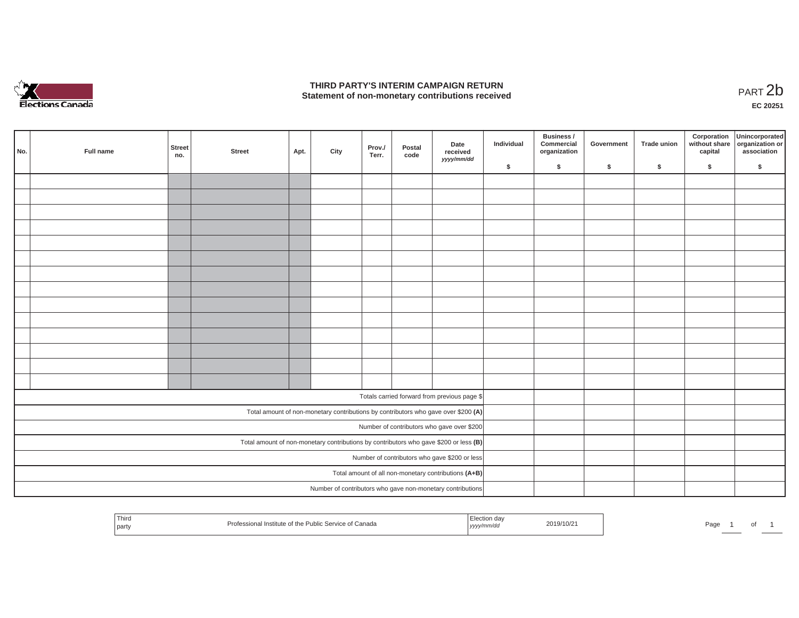

## **THIRD PARTY'S INTERIM CAMPAIGN RETURN**  THIRD PARTY'S INTERIM CAMPAIGN RETURN<br>Statement of non-monetary contributions received<br>**PART 2**b

**EC 20251**

| No. | Full name | Street<br>no. | <b>Street</b> | Apt. | City | Prov./<br>Terr. | Postal<br>code | Date<br>received<br>yyyy/mm/dd                                                        | Individual | Business /<br>Commercial<br>organization | Government | Trade union | Corporation<br>capital | Unincorporated<br>without share organization or<br>association |
|-----|-----------|---------------|---------------|------|------|-----------------|----------------|---------------------------------------------------------------------------------------|------------|------------------------------------------|------------|-------------|------------------------|----------------------------------------------------------------|
|     |           |               |               |      |      |                 |                |                                                                                       | \$         | $\mathsf{s}$                             | \$         | $\sqrt{2}$  | \$                     | \$                                                             |
|     |           |               |               |      |      |                 |                |                                                                                       |            |                                          |            |             |                        |                                                                |
|     |           |               |               |      |      |                 |                |                                                                                       |            |                                          |            |             |                        |                                                                |
|     |           |               |               |      |      |                 |                |                                                                                       |            |                                          |            |             |                        |                                                                |
|     |           |               |               |      |      |                 |                |                                                                                       |            |                                          |            |             |                        |                                                                |
|     |           |               |               |      |      |                 |                |                                                                                       |            |                                          |            |             |                        |                                                                |
|     |           |               |               |      |      |                 |                |                                                                                       |            |                                          |            |             |                        |                                                                |
|     |           |               |               |      |      |                 |                |                                                                                       |            |                                          |            |             |                        |                                                                |
|     |           |               |               |      |      |                 |                |                                                                                       |            |                                          |            |             |                        |                                                                |
|     |           |               |               |      |      |                 |                |                                                                                       |            |                                          |            |             |                        |                                                                |
|     |           |               |               |      |      |                 |                |                                                                                       |            |                                          |            |             |                        |                                                                |
|     |           |               |               |      |      |                 |                |                                                                                       |            |                                          |            |             |                        |                                                                |
|     |           |               |               |      |      |                 |                |                                                                                       |            |                                          |            |             |                        |                                                                |
|     |           |               |               |      |      |                 |                |                                                                                       |            |                                          |            |             |                        |                                                                |
|     |           |               |               |      |      |                 |                |                                                                                       |            |                                          |            |             |                        |                                                                |
|     |           |               |               |      |      |                 |                |                                                                                       |            |                                          |            |             |                        |                                                                |
|     |           |               |               |      |      |                 |                | Totals carried forward from previous page \$                                          |            |                                          |            |             |                        |                                                                |
|     |           |               |               |      |      |                 |                | Total amount of non-monetary contributions by contributors who gave over \$200 (A)    |            |                                          |            |             |                        |                                                                |
|     |           |               |               |      |      |                 |                | Number of contributors who gave over \$200                                            |            |                                          |            |             |                        |                                                                |
|     |           |               |               |      |      |                 |                | Total amount of non-monetary contributions by contributors who gave \$200 or less (B) |            |                                          |            |             |                        |                                                                |
|     |           |               |               |      |      |                 |                | Number of contributors who gave \$200 or less                                         |            |                                          |            |             |                        |                                                                |
|     |           |               |               |      |      |                 |                | Total amount of all non-monetary contributions (A+B)                                  |            |                                          |            |             |                        |                                                                |
|     |           |               |               |      |      |                 |                | Number of contributors who gave non-monetary contributions                            |            |                                          |            |             |                        |                                                                |
|     |           |               |               |      |      |                 |                |                                                                                       |            |                                          |            |             |                        |                                                                |

| I hird<br>2019/10/21<br>f Canada<br>Page<br>I Institute of the Public !<br>Profe<br>∴ Service of<br>yyyy/mm/dd<br>SSIL<br>party | וש |  |
|---------------------------------------------------------------------------------------------------------------------------------|----|--|
|---------------------------------------------------------------------------------------------------------------------------------|----|--|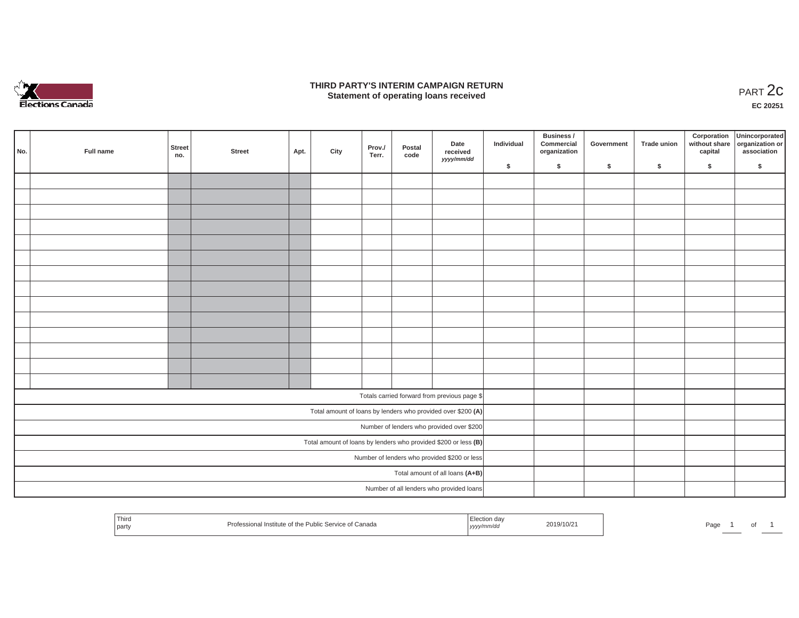

### **THIRD PARTY'S INTERIM CAMPAIGN RETURN**  RD PARTY'S INTERIM CAMPAIGN RETURN<br>Statement of operating loans received **PART 2c**

**EC 20251**

| No. | Full name                                    | Street<br>no. | <b>Street</b> | Apt. | City | Date<br>Prov./<br>Postal<br>received<br>Terr.<br>code<br>yyyy/mm/dd | Individual | <b>Business /</b><br>Commercial<br>organization                 | Government | Trade union | Corporation<br>capital | Unincorporated<br>without share organization or<br>association |    |    |
|-----|----------------------------------------------|---------------|---------------|------|------|---------------------------------------------------------------------|------------|-----------------------------------------------------------------|------------|-------------|------------------------|----------------------------------------------------------------|----|----|
|     |                                              |               |               |      |      |                                                                     |            |                                                                 | \$         | \$          | \$                     | \$                                                             | \$ | \$ |
|     |                                              |               |               |      |      |                                                                     |            |                                                                 |            |             |                        |                                                                |    |    |
|     |                                              |               |               |      |      |                                                                     |            |                                                                 |            |             |                        |                                                                |    |    |
|     |                                              |               |               |      |      |                                                                     |            |                                                                 |            |             |                        |                                                                |    |    |
|     |                                              |               |               |      |      |                                                                     |            |                                                                 |            |             |                        |                                                                |    |    |
|     |                                              |               |               |      |      |                                                                     |            |                                                                 |            |             |                        |                                                                |    |    |
|     |                                              |               |               |      |      |                                                                     |            |                                                                 |            |             |                        |                                                                |    |    |
|     |                                              |               |               |      |      |                                                                     |            |                                                                 |            |             |                        |                                                                |    |    |
|     |                                              |               |               |      |      |                                                                     |            |                                                                 |            |             |                        |                                                                |    |    |
|     |                                              |               |               |      |      |                                                                     |            |                                                                 |            |             |                        |                                                                |    |    |
|     |                                              |               |               |      |      |                                                                     |            |                                                                 |            |             |                        |                                                                |    |    |
|     |                                              |               |               |      |      |                                                                     |            |                                                                 |            |             |                        |                                                                |    |    |
|     |                                              |               |               |      |      |                                                                     |            |                                                                 |            |             |                        |                                                                |    |    |
|     |                                              |               |               |      |      |                                                                     |            |                                                                 |            |             |                        |                                                                |    |    |
|     |                                              |               |               |      |      |                                                                     |            |                                                                 |            |             |                        |                                                                |    |    |
|     |                                              |               |               |      |      |                                                                     |            |                                                                 |            |             |                        |                                                                |    |    |
|     |                                              |               |               |      |      |                                                                     |            | Totals carried forward from previous page \$                    |            |             |                        |                                                                |    |    |
|     |                                              |               |               |      |      |                                                                     |            | Total amount of loans by lenders who provided over \$200 (A)    |            |             |                        |                                                                |    |    |
|     |                                              |               |               |      |      |                                                                     |            | Number of lenders who provided over \$200                       |            |             |                        |                                                                |    |    |
|     |                                              |               |               |      |      |                                                                     |            | Total amount of loans by lenders who provided \$200 or less (B) |            |             |                        |                                                                |    |    |
|     | Number of lenders who provided \$200 or less |               |               |      |      |                                                                     |            |                                                                 |            |             |                        |                                                                |    |    |
|     |                                              |               |               |      |      |                                                                     |            | Total amount of all loans (A+B)                                 |            |             |                        |                                                                |    |    |
|     |                                              |               |               |      |      |                                                                     |            | Number of all lenders who provided loans                        |            |             |                        |                                                                |    |    |
|     |                                              |               |               |      |      |                                                                     |            |                                                                 |            |             |                        |                                                                |    |    |

| Third<br>2019/10/2<br>essional Institute of the Public Service of Canada<br>Page<br>rotes<br>  part<br>, yyyy/mm/aa |  |  |  |
|---------------------------------------------------------------------------------------------------------------------|--|--|--|
|---------------------------------------------------------------------------------------------------------------------|--|--|--|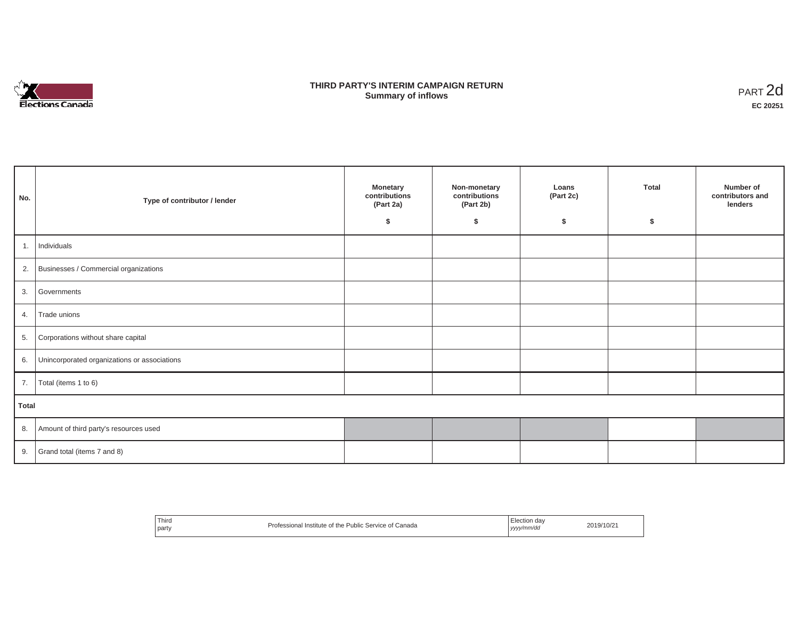

## **THIRD PARTY'S INTERIM CAMPAIGN RETURN SUMMARY STATE SUMMARY OF A SUMMARY OF A SUMMARY OF A SUMMARY OF A SUMMARY OF A SUMMARY OF A SUMMARY OF A SUMMA**<br> **Summary of inflows**

| No.   | Type of contributor / lender                    | <b>Monetary</b><br>contributions<br>(Part 2a)<br>s. | Non-monetary<br>contributions<br>(Part 2b)<br>\$ | Loans<br>(Part 2c)<br>\$ | <b>Total</b><br>Ŝ. | Number of<br>contributors and<br>lenders |
|-------|-------------------------------------------------|-----------------------------------------------------|--------------------------------------------------|--------------------------|--------------------|------------------------------------------|
| 1.    | Individuals                                     |                                                     |                                                  |                          |                    |                                          |
|       | 2. Businesses / Commercial organizations        |                                                     |                                                  |                          |                    |                                          |
|       | 3. Governments                                  |                                                     |                                                  |                          |                    |                                          |
| 4.    | Trade unions                                    |                                                     |                                                  |                          |                    |                                          |
| 5.    | Corporations without share capital              |                                                     |                                                  |                          |                    |                                          |
|       | 6. Unincorporated organizations or associations |                                                     |                                                  |                          |                    |                                          |
| 7.    | Total (items 1 to 6)                            |                                                     |                                                  |                          |                    |                                          |
| Total |                                                 |                                                     |                                                  |                          |                    |                                          |
|       | 8. Amount of third party's resources used       |                                                     |                                                  |                          |                    |                                          |
|       | 9. Grand total (items $7$ and $8$ )             |                                                     |                                                  |                          |                    |                                          |

| Third<br>Election dav<br>Professional Institute of the Public Service of Canada<br>$\sim$<br>party<br>  yyyy/mm/dd | 2019/10/21 |
|--------------------------------------------------------------------------------------------------------------------|------------|
|--------------------------------------------------------------------------------------------------------------------|------------|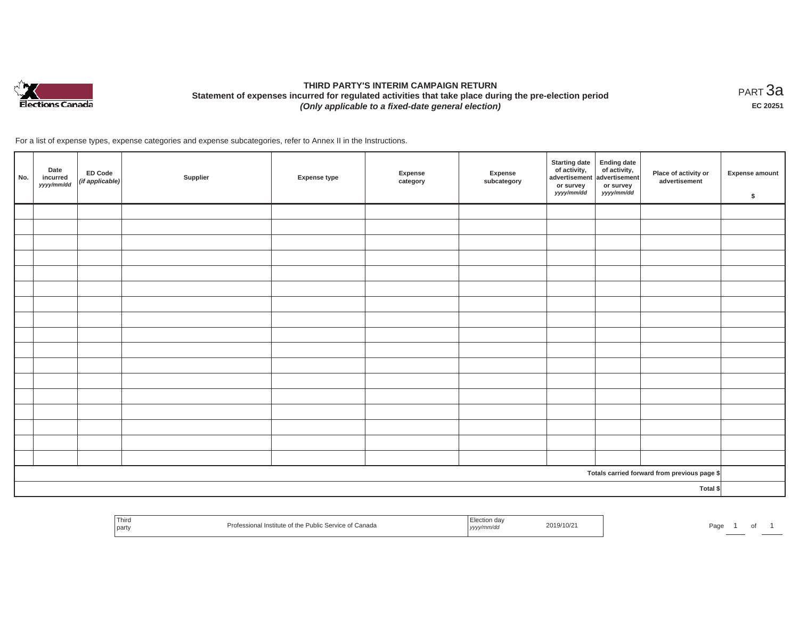

# **THIRD PARTY'S INTERIM CAMPAIGN RETURN Statement of expenses incurred for regulated activities that take place during the pre-election period**  *(Only applicable to a fixed-date general election)*

<code>PART $3$ a</code> **EC 20251**

For a list of expense types, expense categories and expense subcategories, refer to Annex II in the Instructions.

| No. | Date<br>incurred<br>yyyy/mm/dd | ED Code<br>$($ if applicable $)$ | Supplier | <b>Expense type</b> | Expense<br>category | Expense<br>subcategory | Starting date<br>of activity,<br>advertisement advertisement<br>or survey<br>yyyy/mm/dd | or survey<br>yyyy/mm/dd | Place of activity or<br>advertisement        | <b>Expense amount</b><br>\$ |
|-----|--------------------------------|----------------------------------|----------|---------------------|---------------------|------------------------|-----------------------------------------------------------------------------------------|-------------------------|----------------------------------------------|-----------------------------|
|     |                                |                                  |          |                     |                     |                        |                                                                                         |                         |                                              |                             |
|     |                                |                                  |          |                     |                     |                        |                                                                                         |                         |                                              |                             |
|     |                                |                                  |          |                     |                     |                        |                                                                                         |                         |                                              |                             |
|     |                                |                                  |          |                     |                     |                        |                                                                                         |                         |                                              |                             |
|     |                                |                                  |          |                     |                     |                        |                                                                                         |                         |                                              |                             |
|     |                                |                                  |          |                     |                     |                        |                                                                                         |                         |                                              |                             |
|     |                                |                                  |          |                     |                     |                        |                                                                                         |                         |                                              |                             |
|     |                                |                                  |          |                     |                     |                        |                                                                                         |                         |                                              |                             |
|     |                                |                                  |          |                     |                     |                        |                                                                                         |                         |                                              |                             |
|     |                                |                                  |          |                     |                     |                        |                                                                                         |                         |                                              |                             |
|     |                                |                                  |          |                     |                     |                        |                                                                                         |                         |                                              |                             |
|     |                                |                                  |          |                     |                     |                        |                                                                                         |                         |                                              |                             |
|     |                                |                                  |          |                     |                     |                        |                                                                                         |                         |                                              |                             |
|     |                                |                                  |          |                     |                     |                        |                                                                                         |                         |                                              |                             |
|     |                                |                                  |          |                     |                     |                        |                                                                                         |                         |                                              |                             |
|     |                                |                                  |          |                     |                     |                        |                                                                                         |                         |                                              |                             |
|     |                                |                                  |          |                     |                     |                        |                                                                                         |                         |                                              |                             |
|     |                                |                                  |          |                     |                     |                        |                                                                                         |                         | Totals carried forward from previous page \$ |                             |
|     |                                |                                  |          |                     |                     |                        |                                                                                         |                         | Total \$                                     |                             |

| Thirc<br>party | Institute of the<br>Canada<br>PHOL.<br>$\overline{\phantom{a}}$ ivit $\overline{\phantom{a}}$ | ,,,, | :019/10/2<br>$\sim$ $\sim$ $\sim$ $\sim$ $\sim$ $\sim$ | au |  |  |
|----------------|-----------------------------------------------------------------------------------------------|------|--------------------------------------------------------|----|--|--|
|----------------|-----------------------------------------------------------------------------------------------|------|--------------------------------------------------------|----|--|--|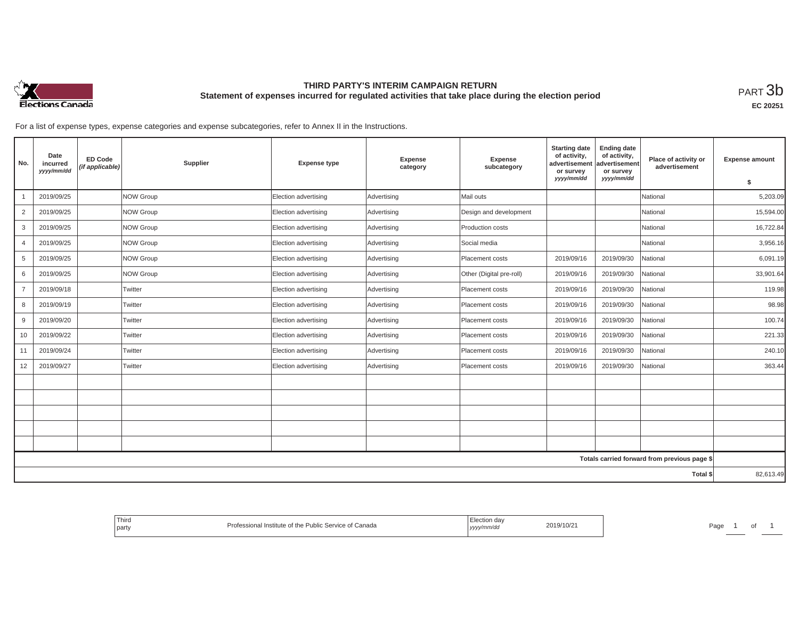

## **THIRD PARTY'S INTERIM CAMPAIGN RETURN Statement of expenses incurred for regulated activities that take place during the election period**<br>РАRТ  $3\mathrm{b}$

**EC 20251**

For a list of expense types, expense categories and expense subcategories, refer to Annex II in the Instructions.

| No.            | Date<br>incurred<br>yyyy/mm/dd | <b>ED Code</b><br>(if applicable) | Supplier  | <b>Expense type</b>  | <b>Expense</b><br>category | Expense<br>subcategory   | <b>Starting date</b><br>of activity,<br>advertisement<br>or survey<br>yyyy/mm/dd | <b>Ending date</b><br>of activity,<br>advertisement<br>or survey<br>yyyy/mm/dd | Place of activity or<br>advertisement        | <b>Expense amount</b><br>\$ |
|----------------|--------------------------------|-----------------------------------|-----------|----------------------|----------------------------|--------------------------|----------------------------------------------------------------------------------|--------------------------------------------------------------------------------|----------------------------------------------|-----------------------------|
|                | 2019/09/25                     |                                   | NOW Group | Election advertising | Advertising                | Mail outs                |                                                                                  |                                                                                | National                                     | 5,203.09                    |
| $\overline{2}$ | 2019/09/25                     |                                   | NOW Group | Election advertising | Advertising                | Design and development   |                                                                                  |                                                                                | National                                     | 15,594.00                   |
| 3              | 2019/09/25                     |                                   | NOW Group | Election advertising | Advertising                | Production costs         |                                                                                  |                                                                                | National                                     | 16,722.84                   |
| $\overline{4}$ | 2019/09/25                     |                                   | NOW Group | Election advertising | Advertising                | Social media             |                                                                                  |                                                                                | National                                     | 3,956.16                    |
| 5              | 2019/09/25                     |                                   | NOW Group | Election advertising | Advertising                | Placement costs          | 2019/09/16                                                                       | 2019/09/30                                                                     | National                                     | 6,091.19                    |
| 6              | 2019/09/25                     |                                   | NOW Group | Election advertising | Advertising                | Other (Digital pre-roll) | 2019/09/16                                                                       | 2019/09/30                                                                     | National                                     | 33,901.64                   |
| $\overline{7}$ | 2019/09/18                     |                                   | Twitter   | Election advertising | Advertising                | Placement costs          | 2019/09/16                                                                       | 2019/09/30                                                                     | National                                     | 119.98                      |
| 8              | 2019/09/19                     |                                   | Twitter   | Election advertising | Advertising                | Placement costs          | 2019/09/16                                                                       | 2019/09/30                                                                     | National                                     | 98.98                       |
| 9              | 2019/09/20                     |                                   | Twitter   | Election advertising | Advertising                | Placement costs          | 2019/09/16                                                                       | 2019/09/30                                                                     | National                                     | 100.74                      |
| 10             | 2019/09/22                     |                                   | Twitter   | Election advertising | Advertising                | Placement costs          | 2019/09/16                                                                       | 2019/09/30                                                                     | National                                     | 221.33                      |
| 11             | 2019/09/24                     |                                   | Twitter   | Election advertising | Advertising                | Placement costs          | 2019/09/16                                                                       | 2019/09/30                                                                     | National                                     | 240.10                      |
| 12             | 2019/09/27                     |                                   | Twitter   | Election advertising | Advertising                | Placement costs          | 2019/09/16                                                                       | 2019/09/30                                                                     | National                                     | 363.44                      |
|                |                                |                                   |           |                      |                            |                          |                                                                                  |                                                                                |                                              |                             |
|                |                                |                                   |           |                      |                            |                          |                                                                                  |                                                                                |                                              |                             |
|                |                                |                                   |           |                      |                            |                          |                                                                                  |                                                                                |                                              |                             |
|                |                                |                                   |           |                      |                            |                          |                                                                                  |                                                                                |                                              |                             |
|                |                                |                                   |           |                      |                            |                          |                                                                                  |                                                                                |                                              |                             |
|                |                                |                                   |           |                      |                            |                          |                                                                                  |                                                                                | Totals carried forward from previous page \$ |                             |
|                |                                |                                   |           |                      |                            |                          |                                                                                  |                                                                                | Total \$                                     | 82,613.49                   |

| Third<br>Professional Institute of the Public Service of Canada<br>l party | Election day<br>2019/10/2<br>yyyy/mm/dd | Page |
|----------------------------------------------------------------------------|-----------------------------------------|------|
|----------------------------------------------------------------------------|-----------------------------------------|------|